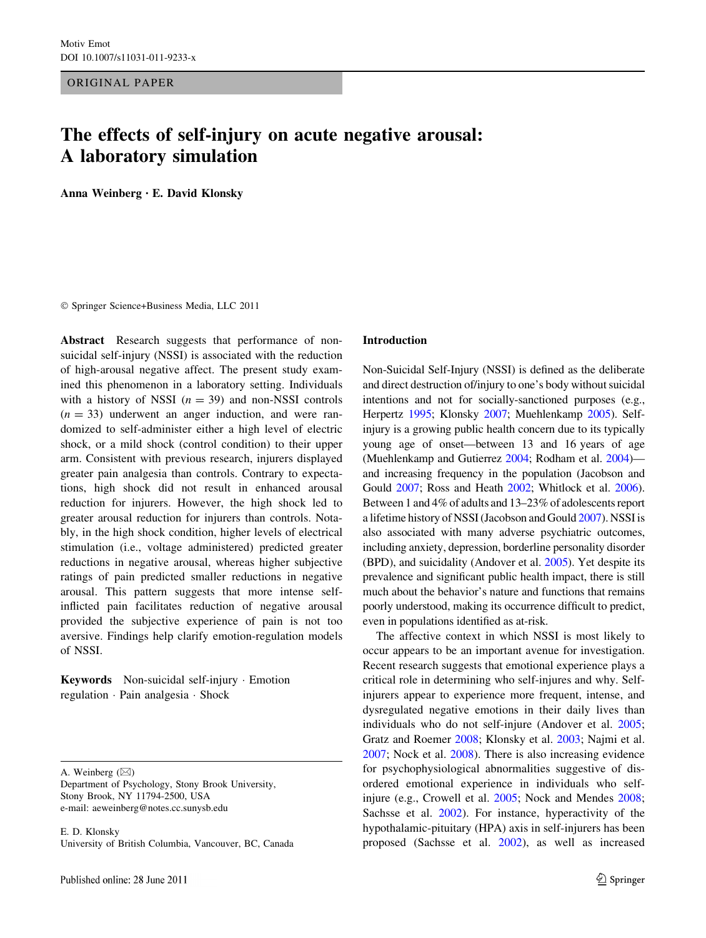ORIGINAL PAPER

# The effects of self-injury on acute negative arousal: A laboratory simulation

Anna Weinberg • E. David Klonsky

- Springer Science+Business Media, LLC 2011

Abstract Research suggests that performance of nonsuicidal self-injury (NSSI) is associated with the reduction of high-arousal negative affect. The present study examined this phenomenon in a laboratory setting. Individuals with a history of NSSI  $(n = 39)$  and non-NSSI controls  $(n = 33)$  underwent an anger induction, and were randomized to self-administer either a high level of electric shock, or a mild shock (control condition) to their upper arm. Consistent with previous research, injurers displayed greater pain analgesia than controls. Contrary to expectations, high shock did not result in enhanced arousal reduction for injurers. However, the high shock led to greater arousal reduction for injurers than controls. Notably, in the high shock condition, higher levels of electrical stimulation (i.e., voltage administered) predicted greater reductions in negative arousal, whereas higher subjective ratings of pain predicted smaller reductions in negative arousal. This pattern suggests that more intense selfinflicted pain facilitates reduction of negative arousal provided the subjective experience of pain is not too aversive. Findings help clarify emotion-regulation models of NSSI.

Keywords Non-suicidal self-injury - Emotion regulation - Pain analgesia - Shock

A. Weinberg  $(\boxtimes)$ 

Department of Psychology, Stony Brook University, Stony Brook, NY 11794-2500, USA e-mail: aeweinberg@notes.cc.sunysb.edu

E. D. Klonsky University of British Columbia, Vancouver, BC, Canada

#### Introduction

Non-Suicidal Self-Injury (NSSI) is defined as the deliberate and direct destruction of/injury to one's body without suicidal intentions and not for socially-sanctioned purposes (e.g., Herpertz [1995](#page-11-0); Klonsky [2007;](#page-11-0) Muehlenkamp [2005](#page-11-0)). Selfinjury is a growing public health concern due to its typically young age of onset—between 13 and 16 years of age (Muehlenkamp and Gutierrez [2004](#page-11-0); Rodham et al. [2004](#page-11-0)) and increasing frequency in the population (Jacobson and Gould [2007;](#page-11-0) Ross and Heath [2002;](#page-11-0) Whitlock et al. [2006\)](#page-12-0). Between 1 and 4% of adults and 13–23% of adolescents report a lifetime history of NSSI (Jacobson and Gould [2007\)](#page-11-0). NSSI is also associated with many adverse psychiatric outcomes, including anxiety, depression, borderline personality disorder (BPD), and suicidality (Andover et al. [2005](#page-10-0)). Yet despite its prevalence and significant public health impact, there is still much about the behavior's nature and functions that remains poorly understood, making its occurrence difficult to predict, even in populations identified as at-risk.

The affective context in which NSSI is most likely to occur appears to be an important avenue for investigation. Recent research suggests that emotional experience plays a critical role in determining who self-injures and why. Selfinjurers appear to experience more frequent, intense, and dysregulated negative emotions in their daily lives than individuals who do not self-injure (Andover et al. [2005](#page-10-0); Gratz and Roemer [2008;](#page-11-0) Klonsky et al. [2003;](#page-11-0) Najmi et al. [2007](#page-11-0); Nock et al. [2008\)](#page-11-0). There is also increasing evidence for psychophysiological abnormalities suggestive of disordered emotional experience in individuals who selfinjure (e.g., Crowell et al. [2005;](#page-11-0) Nock and Mendes [2008](#page-11-0); Sachsse et al. [2002](#page-11-0)). For instance, hyperactivity of the hypothalamic-pituitary (HPA) axis in self-injurers has been proposed (Sachsse et al. [2002\)](#page-11-0), as well as increased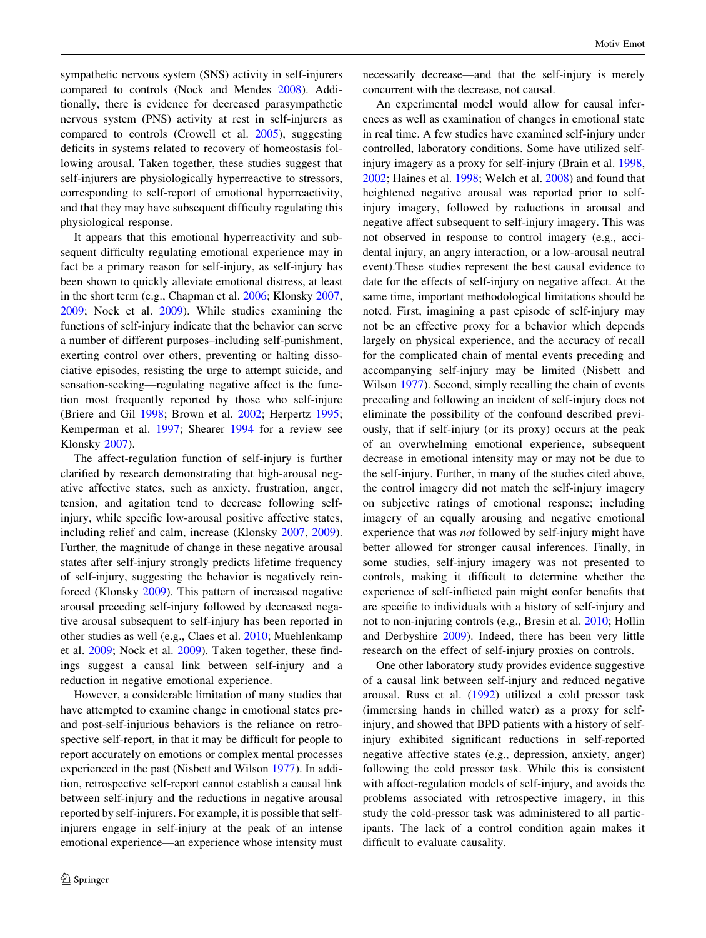sympathetic nervous system (SNS) activity in self-injurers compared to controls (Nock and Mendes [2008\)](#page-11-0). Additionally, there is evidence for decreased parasympathetic nervous system (PNS) activity at rest in self-injurers as compared to controls (Crowell et al. [2005](#page-11-0)), suggesting deficits in systems related to recovery of homeostasis following arousal. Taken together, these studies suggest that self-injurers are physiologically hyperreactive to stressors, corresponding to self-report of emotional hyperreactivity, and that they may have subsequent difficulty regulating this physiological response.

It appears that this emotional hyperreactivity and subsequent difficulty regulating emotional experience may in fact be a primary reason for self-injury, as self-injury has been shown to quickly alleviate emotional distress, at least in the short term (e.g., Chapman et al. [2006](#page-11-0); Klonsky [2007,](#page-11-0) [2009;](#page-11-0) Nock et al. [2009](#page-11-0)). While studies examining the functions of self-injury indicate that the behavior can serve a number of different purposes–including self-punishment, exerting control over others, preventing or halting dissociative episodes, resisting the urge to attempt suicide, and sensation-seeking—regulating negative affect is the function most frequently reported by those who self-injure (Briere and Gil [1998](#page-10-0); Brown et al. [2002;](#page-10-0) Herpertz [1995](#page-11-0); Kemperman et al. [1997;](#page-11-0) Shearer [1994](#page-11-0) for a review see Klonsky [2007](#page-11-0)).

The affect-regulation function of self-injury is further clarified by research demonstrating that high-arousal negative affective states, such as anxiety, frustration, anger, tension, and agitation tend to decrease following selfinjury, while specific low-arousal positive affective states, including relief and calm, increase (Klonsky [2007](#page-11-0), [2009](#page-11-0)). Further, the magnitude of change in these negative arousal states after self-injury strongly predicts lifetime frequency of self-injury, suggesting the behavior is negatively reinforced (Klonsky [2009](#page-11-0)). This pattern of increased negative arousal preceding self-injury followed by decreased negative arousal subsequent to self-injury has been reported in other studies as well (e.g., Claes et al. [2010;](#page-11-0) Muehlenkamp et al. [2009;](#page-11-0) Nock et al. [2009\)](#page-11-0). Taken together, these findings suggest a causal link between self-injury and a reduction in negative emotional experience.

However, a considerable limitation of many studies that have attempted to examine change in emotional states preand post-self-injurious behaviors is the reliance on retrospective self-report, in that it may be difficult for people to report accurately on emotions or complex mental processes experienced in the past (Nisbett and Wilson [1977](#page-11-0)). In addition, retrospective self-report cannot establish a causal link between self-injury and the reductions in negative arousal reported by self-injurers. For example, it is possible that selfinjurers engage in self-injury at the peak of an intense emotional experience—an experience whose intensity must

necessarily decrease—and that the self-injury is merely concurrent with the decrease, not causal.

An experimental model would allow for causal inferences as well as examination of changes in emotional state in real time. A few studies have examined self-injury under controlled, laboratory conditions. Some have utilized selfinjury imagery as a proxy for self-injury (Brain et al. [1998,](#page-10-0) [2002](#page-10-0); Haines et al. [1998;](#page-11-0) Welch et al. [2008](#page-12-0)) and found that heightened negative arousal was reported prior to selfinjury imagery, followed by reductions in arousal and negative affect subsequent to self-injury imagery. This was not observed in response to control imagery (e.g., accidental injury, an angry interaction, or a low-arousal neutral event).These studies represent the best causal evidence to date for the effects of self-injury on negative affect. At the same time, important methodological limitations should be noted. First, imagining a past episode of self-injury may not be an effective proxy for a behavior which depends largely on physical experience, and the accuracy of recall for the complicated chain of mental events preceding and accompanying self-injury may be limited (Nisbett and Wilson [1977\)](#page-11-0). Second, simply recalling the chain of events preceding and following an incident of self-injury does not eliminate the possibility of the confound described previously, that if self-injury (or its proxy) occurs at the peak of an overwhelming emotional experience, subsequent decrease in emotional intensity may or may not be due to the self-injury. Further, in many of the studies cited above, the control imagery did not match the self-injury imagery on subjective ratings of emotional response; including imagery of an equally arousing and negative emotional experience that was not followed by self-injury might have better allowed for stronger causal inferences. Finally, in some studies, self-injury imagery was not presented to controls, making it difficult to determine whether the experience of self-inflicted pain might confer benefits that are specific to individuals with a history of self-injury and not to non-injuring controls (e.g., Bresin et al. [2010](#page-10-0); Hollin and Derbyshire [2009\)](#page-11-0). Indeed, there has been very little research on the effect of self-injury proxies on controls.

One other laboratory study provides evidence suggestive of a causal link between self-injury and reduced negative arousal. Russ et al. [\(1992](#page-11-0)) utilized a cold pressor task (immersing hands in chilled water) as a proxy for selfinjury, and showed that BPD patients with a history of selfinjury exhibited significant reductions in self-reported negative affective states (e.g., depression, anxiety, anger) following the cold pressor task. While this is consistent with affect-regulation models of self-injury, and avoids the problems associated with retrospective imagery, in this study the cold-pressor task was administered to all participants. The lack of a control condition again makes it difficult to evaluate causality.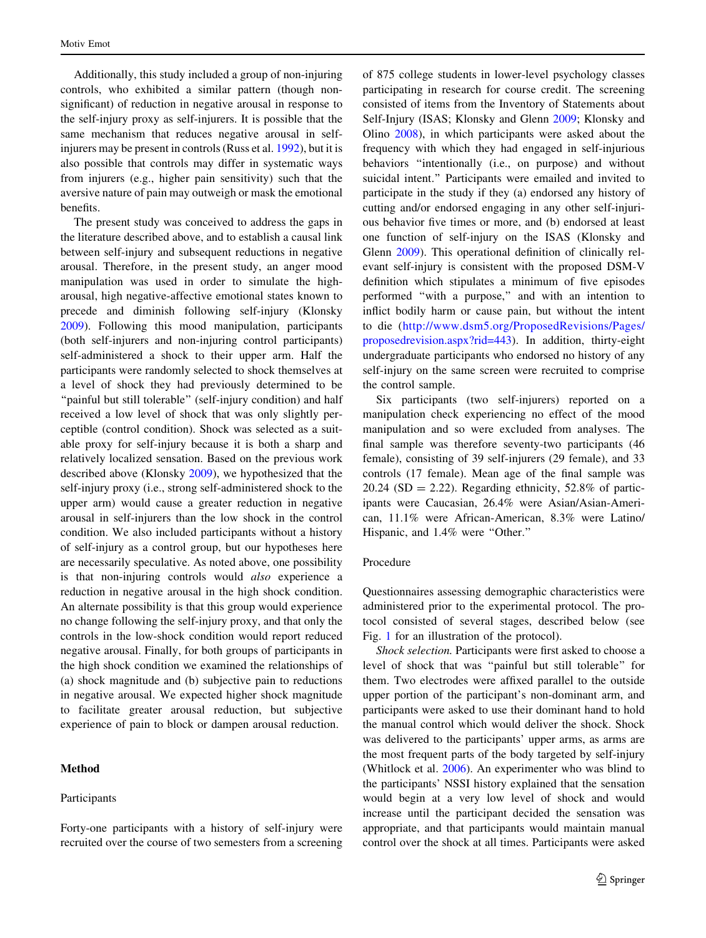Additionally, this study included a group of non-injuring controls, who exhibited a similar pattern (though nonsignificant) of reduction in negative arousal in response to the self-injury proxy as self-injurers. It is possible that the same mechanism that reduces negative arousal in selfinjurers may be present in controls (Russ et al. [1992\)](#page-11-0), but it is also possible that controls may differ in systematic ways from injurers (e.g., higher pain sensitivity) such that the aversive nature of pain may outweigh or mask the emotional benefits.

The present study was conceived to address the gaps in the literature described above, and to establish a causal link between self-injury and subsequent reductions in negative arousal. Therefore, in the present study, an anger mood manipulation was used in order to simulate the higharousal, high negative-affective emotional states known to precede and diminish following self-injury (Klonsky [2009\)](#page-11-0). Following this mood manipulation, participants (both self-injurers and non-injuring control participants) self-administered a shock to their upper arm. Half the participants were randomly selected to shock themselves at a level of shock they had previously determined to be "painful but still tolerable" (self-injury condition) and half received a low level of shock that was only slightly perceptible (control condition). Shock was selected as a suitable proxy for self-injury because it is both a sharp and relatively localized sensation. Based on the previous work described above (Klonsky [2009](#page-11-0)), we hypothesized that the self-injury proxy (i.e., strong self-administered shock to the upper arm) would cause a greater reduction in negative arousal in self-injurers than the low shock in the control condition. We also included participants without a history of self-injury as a control group, but our hypotheses here are necessarily speculative. As noted above, one possibility is that non-injuring controls would also experience a reduction in negative arousal in the high shock condition. An alternate possibility is that this group would experience no change following the self-injury proxy, and that only the controls in the low-shock condition would report reduced negative arousal. Finally, for both groups of participants in the high shock condition we examined the relationships of (a) shock magnitude and (b) subjective pain to reductions in negative arousal. We expected higher shock magnitude to facilitate greater arousal reduction, but subjective experience of pain to block or dampen arousal reduction.

# Method

# Participants

Forty-one participants with a history of self-injury were recruited over the course of two semesters from a screening of 875 college students in lower-level psychology classes participating in research for course credit. The screening consisted of items from the Inventory of Statements about Self-Injury (ISAS; Klonsky and Glenn [2009;](#page-11-0) Klonsky and Olino [2008](#page-11-0)), in which participants were asked about the frequency with which they had engaged in self-injurious behaviors ''intentionally (i.e., on purpose) and without suicidal intent.'' Participants were emailed and invited to participate in the study if they (a) endorsed any history of cutting and/or endorsed engaging in any other self-injurious behavior five times or more, and (b) endorsed at least one function of self-injury on the ISAS (Klonsky and Glenn [2009](#page-11-0)). This operational definition of clinically relevant self-injury is consistent with the proposed DSM-V definition which stipulates a minimum of five episodes performed ''with a purpose,'' and with an intention to inflict bodily harm or cause pain, but without the intent to die ([http://www.dsm5.org/ProposedRevisions/Pages/](http://www.dsm5.org/ProposedRevisions/Pages/proposedrevision.aspx?rid=443) [proposedrevision.aspx?rid=443\)](http://www.dsm5.org/ProposedRevisions/Pages/proposedrevision.aspx?rid=443). In addition, thirty-eight undergraduate participants who endorsed no history of any self-injury on the same screen were recruited to comprise the control sample.

Six participants (two self-injurers) reported on a manipulation check experiencing no effect of the mood manipulation and so were excluded from analyses. The final sample was therefore seventy-two participants (46 female), consisting of 39 self-injurers (29 female), and 33 controls (17 female). Mean age of the final sample was 20.24 (SD = 2.22). Regarding ethnicity,  $52.8\%$  of participants were Caucasian, 26.4% were Asian/Asian-American, 11.1% were African-American, 8.3% were Latino/ Hispanic, and 1.4% were "Other."

#### Procedure

Questionnaires assessing demographic characteristics were administered prior to the experimental protocol. The protocol consisted of several stages, described below (see Fig. [1](#page-3-0) for an illustration of the protocol).

Shock selection. Participants were first asked to choose a level of shock that was ''painful but still tolerable'' for them. Two electrodes were affixed parallel to the outside upper portion of the participant's non-dominant arm, and participants were asked to use their dominant hand to hold the manual control which would deliver the shock. Shock was delivered to the participants' upper arms, as arms are the most frequent parts of the body targeted by self-injury (Whitlock et al. [2006](#page-12-0)). An experimenter who was blind to the participants' NSSI history explained that the sensation would begin at a very low level of shock and would increase until the participant decided the sensation was appropriate, and that participants would maintain manual control over the shock at all times. Participants were asked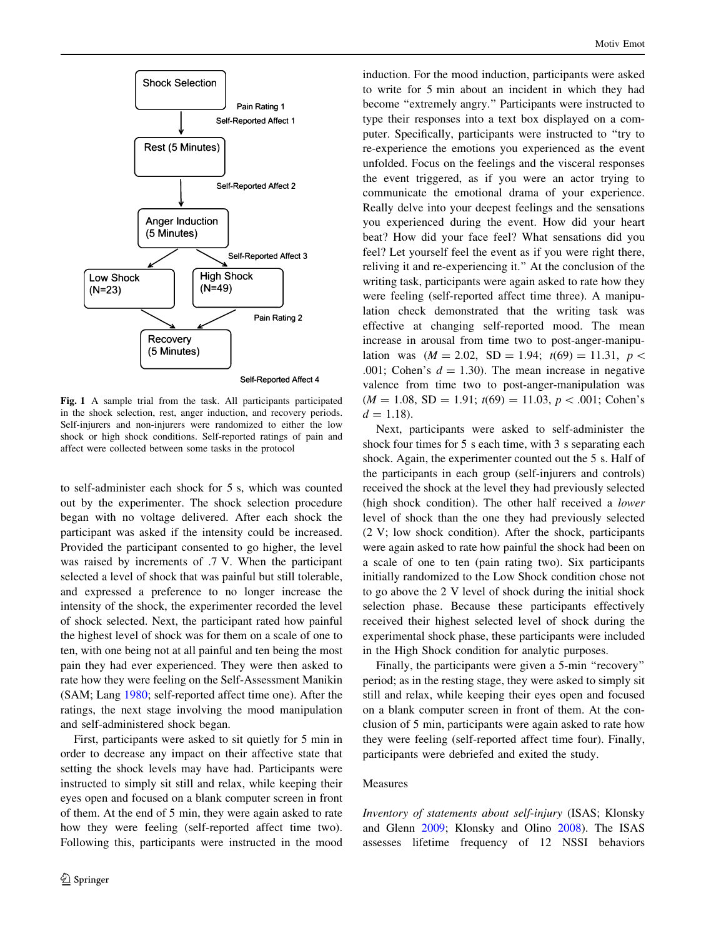<span id="page-3-0"></span>

Fig. 1 A sample trial from the task. All participants participated in the shock selection, rest, anger induction, and recovery periods. Self-injurers and non-injurers were randomized to either the low shock or high shock conditions. Self-reported ratings of pain and affect were collected between some tasks in the protocol

to self-administer each shock for 5 s, which was counted out by the experimenter. The shock selection procedure began with no voltage delivered. After each shock the participant was asked if the intensity could be increased. Provided the participant consented to go higher, the level was raised by increments of .7 V. When the participant selected a level of shock that was painful but still tolerable, and expressed a preference to no longer increase the intensity of the shock, the experimenter recorded the level of shock selected. Next, the participant rated how painful the highest level of shock was for them on a scale of one to ten, with one being not at all painful and ten being the most pain they had ever experienced. They were then asked to rate how they were feeling on the Self-Assessment Manikin (SAM; Lang [1980;](#page-11-0) self-reported affect time one). After the ratings, the next stage involving the mood manipulation and self-administered shock began.

First, participants were asked to sit quietly for 5 min in order to decrease any impact on their affective state that setting the shock levels may have had. Participants were instructed to simply sit still and relax, while keeping their eyes open and focused on a blank computer screen in front of them. At the end of 5 min, they were again asked to rate how they were feeling (self-reported affect time two). Following this, participants were instructed in the mood induction. For the mood induction, participants were asked to write for 5 min about an incident in which they had become ''extremely angry.'' Participants were instructed to type their responses into a text box displayed on a computer. Specifically, participants were instructed to ''try to re-experience the emotions you experienced as the event unfolded. Focus on the feelings and the visceral responses the event triggered, as if you were an actor trying to communicate the emotional drama of your experience. Really delve into your deepest feelings and the sensations you experienced during the event. How did your heart beat? How did your face feel? What sensations did you feel? Let yourself feel the event as if you were right there, reliving it and re-experiencing it.'' At the conclusion of the writing task, participants were again asked to rate how they were feeling (self-reported affect time three). A manipulation check demonstrated that the writing task was effective at changing self-reported mood. The mean increase in arousal from time two to post-anger-manipulation was  $(M = 2.02, SD = 1.94; t(69) = 11.31, p \leq$ .001; Cohen's  $d = 1.30$ . The mean increase in negative valence from time two to post-anger-manipulation was  $(M = 1.08, SD = 1.91; t(69) = 11.03, p < .001;$  Cohen's  $d = 1.18$ .

Next, participants were asked to self-administer the shock four times for 5 s each time, with 3 s separating each shock. Again, the experimenter counted out the 5 s. Half of the participants in each group (self-injurers and controls) received the shock at the level they had previously selected (high shock condition). The other half received a lower level of shock than the one they had previously selected (2 V; low shock condition). After the shock, participants were again asked to rate how painful the shock had been on a scale of one to ten (pain rating two). Six participants initially randomized to the Low Shock condition chose not to go above the 2 V level of shock during the initial shock selection phase. Because these participants effectively received their highest selected level of shock during the experimental shock phase, these participants were included in the High Shock condition for analytic purposes.

Finally, the participants were given a 5-min ''recovery'' period; as in the resting stage, they were asked to simply sit still and relax, while keeping their eyes open and focused on a blank computer screen in front of them. At the conclusion of 5 min, participants were again asked to rate how they were feeling (self-reported affect time four). Finally, participants were debriefed and exited the study.

#### Measures

Inventory of statements about self-injury (ISAS; Klonsky and Glenn [2009;](#page-11-0) Klonsky and Olino [2008\)](#page-11-0). The ISAS assesses lifetime frequency of 12 NSSI behaviors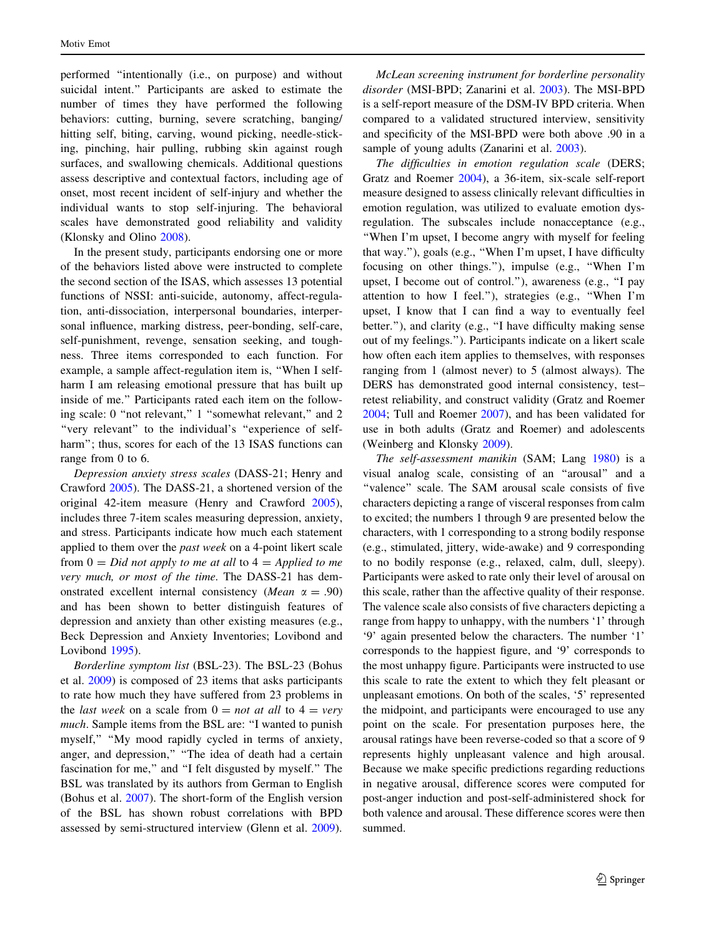performed ''intentionally (i.e., on purpose) and without suicidal intent.'' Participants are asked to estimate the number of times they have performed the following behaviors: cutting, burning, severe scratching, banging/ hitting self, biting, carving, wound picking, needle-sticking, pinching, hair pulling, rubbing skin against rough surfaces, and swallowing chemicals. Additional questions assess descriptive and contextual factors, including age of onset, most recent incident of self-injury and whether the individual wants to stop self-injuring. The behavioral scales have demonstrated good reliability and validity (Klonsky and Olino [2008](#page-11-0)).

In the present study, participants endorsing one or more of the behaviors listed above were instructed to complete the second section of the ISAS, which assesses 13 potential functions of NSSI: anti-suicide, autonomy, affect-regulation, anti-dissociation, interpersonal boundaries, interpersonal influence, marking distress, peer-bonding, self-care, self-punishment, revenge, sensation seeking, and toughness. Three items corresponded to each function. For example, a sample affect-regulation item is, ''When I selfharm I am releasing emotional pressure that has built up inside of me.'' Participants rated each item on the following scale: 0 "not relevant," 1 "somewhat relevant," and 2 "very relevant" to the individual's "experience of selfharm"; thus, scores for each of the 13 ISAS functions can range from 0 to 6.

Depression anxiety stress scales (DASS-21; Henry and Crawford [2005](#page-11-0)). The DASS-21, a shortened version of the original 42-item measure (Henry and Crawford [2005](#page-11-0)), includes three 7-item scales measuring depression, anxiety, and stress. Participants indicate how much each statement applied to them over the *past week* on a 4-point likert scale from  $0 = Did$  not apply to me at all to  $4 = Applied$  to me very much, or most of the time. The DASS-21 has demonstrated excellent internal consistency (Mean  $\alpha = .90$ ) and has been shown to better distinguish features of depression and anxiety than other existing measures (e.g., Beck Depression and Anxiety Inventories; Lovibond and Lovibond [1995](#page-11-0)).

Borderline symptom list (BSL-23). The BSL-23 (Bohus et al. [2009](#page-10-0)) is composed of 23 items that asks participants to rate how much they have suffered from 23 problems in the *last week* on a scale from  $0 = not$  at all to  $4 = very$ much. Sample items from the BSL are: ''I wanted to punish myself," "My mood rapidly cycled in terms of anxiety, anger, and depression," "The idea of death had a certain fascination for me,'' and ''I felt disgusted by myself.'' The BSL was translated by its authors from German to English (Bohus et al. [2007](#page-10-0)). The short-form of the English version of the BSL has shown robust correlations with BPD assessed by semi-structured interview (Glenn et al. [2009\)](#page-11-0).

McLean screening instrument for borderline personality disorder (MSI-BPD; Zanarini et al. [2003](#page-12-0)). The MSI-BPD is a self-report measure of the DSM-IV BPD criteria. When compared to a validated structured interview, sensitivity and specificity of the MSI-BPD were both above .90 in a sample of young adults (Zanarini et al. [2003](#page-12-0)).

The difficulties in emotion regulation scale (DERS; Gratz and Roemer [2004\)](#page-11-0), a 36-item, six-scale self-report measure designed to assess clinically relevant difficulties in emotion regulation, was utilized to evaluate emotion dysregulation. The subscales include nonacceptance (e.g., ''When I'm upset, I become angry with myself for feeling that way.''), goals (e.g., ''When I'm upset, I have difficulty focusing on other things.''), impulse (e.g., ''When I'm upset, I become out of control.''), awareness (e.g., ''I pay attention to how I feel.''), strategies (e.g., ''When I'm upset, I know that I can find a way to eventually feel better.''), and clarity (e.g., ''I have difficulty making sense out of my feelings.''). Participants indicate on a likert scale how often each item applies to themselves, with responses ranging from 1 (almost never) to 5 (almost always). The DERS has demonstrated good internal consistency, test– retest reliability, and construct validity (Gratz and Roemer [2004](#page-11-0); Tull and Roemer [2007\)](#page-12-0), and has been validated for use in both adults (Gratz and Roemer) and adolescents (Weinberg and Klonsky [2009](#page-12-0)).

The self-assessment manikin (SAM; Lang [1980\)](#page-11-0) is a visual analog scale, consisting of an ''arousal'' and a "valence" scale. The SAM arousal scale consists of five characters depicting a range of visceral responses from calm to excited; the numbers 1 through 9 are presented below the characters, with 1 corresponding to a strong bodily response (e.g., stimulated, jittery, wide-awake) and 9 corresponding to no bodily response (e.g., relaxed, calm, dull, sleepy). Participants were asked to rate only their level of arousal on this scale, rather than the affective quality of their response. The valence scale also consists of five characters depicting a range from happy to unhappy, with the numbers '1' through '9' again presented below the characters. The number '1' corresponds to the happiest figure, and '9' corresponds to the most unhappy figure. Participants were instructed to use this scale to rate the extent to which they felt pleasant or unpleasant emotions. On both of the scales, '5' represented the midpoint, and participants were encouraged to use any point on the scale. For presentation purposes here, the arousal ratings have been reverse-coded so that a score of 9 represents highly unpleasant valence and high arousal. Because we make specific predictions regarding reductions in negative arousal, difference scores were computed for post-anger induction and post-self-administered shock for both valence and arousal. These difference scores were then summed.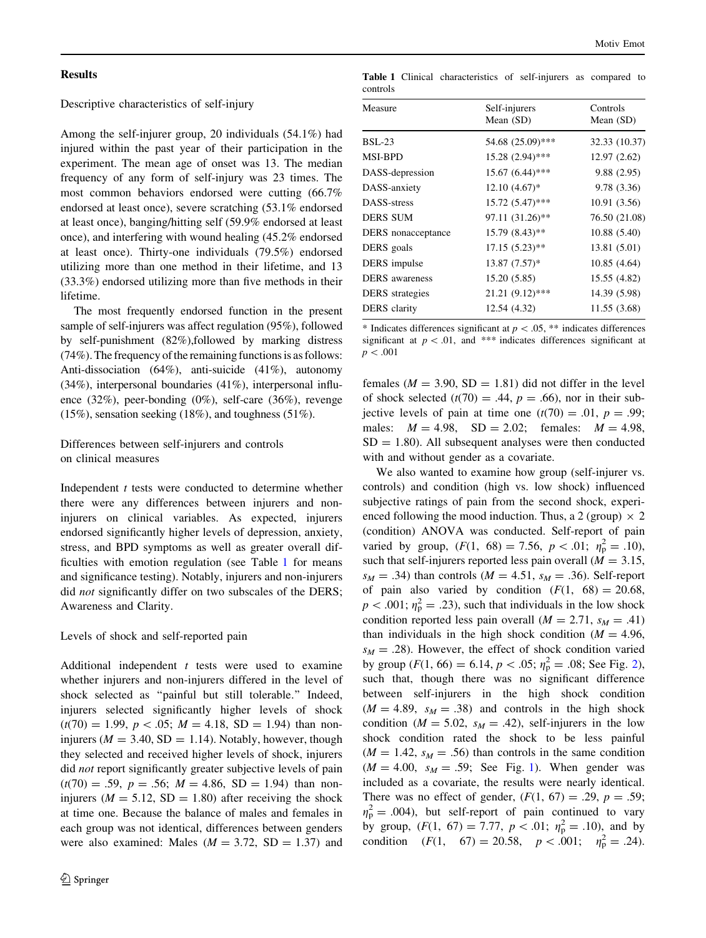#### **Results**

### Descriptive characteristics of self-injury

Among the self-injurer group, 20 individuals (54.1%) had injured within the past year of their participation in the experiment. The mean age of onset was 13. The median frequency of any form of self-injury was 23 times. The most common behaviors endorsed were cutting (66.7% endorsed at least once), severe scratching (53.1% endorsed at least once), banging/hitting self (59.9% endorsed at least once), and interfering with wound healing (45.2% endorsed at least once). Thirty-one individuals (79.5%) endorsed utilizing more than one method in their lifetime, and 13 (33.3%) endorsed utilizing more than five methods in their lifetime.

The most frequently endorsed function in the present sample of self-injurers was affect regulation (95%), followed by self-punishment (82%),followed by marking distress (74%). The frequency of the remaining functions is as follows: Anti-dissociation (64%), anti-suicide (41%), autonomy (34%), interpersonal boundaries (41%), interpersonal influence (32%), peer-bonding (0%), self-care (36%), revenge (15%), sensation seeking (18%), and toughness (51%).

# Differences between self-injurers and controls on clinical measures

Independent t tests were conducted to determine whether there were any differences between injurers and noninjurers on clinical variables. As expected, injurers endorsed significantly higher levels of depression, anxiety, stress, and BPD symptoms as well as greater overall difficulties with emotion regulation (see Table 1 for means and significance testing). Notably, injurers and non-injurers did *not* significantly differ on two subscales of the DERS; Awareness and Clarity.

#### Levels of shock and self-reported pain

Additional independent  $t$  tests were used to examine whether injurers and non-injurers differed in the level of shock selected as ''painful but still tolerable.'' Indeed, injurers selected significantly higher levels of shock  $(t(70) = 1.99, p < .05; M = 4.18, SD = 1.94)$  than noninjurers ( $M = 3.40$ , SD = 1.14). Notably, however, though they selected and received higher levels of shock, injurers did not report significantly greater subjective levels of pain  $(t(70) = .59, p = .56; M = 4.86, SD = 1.94)$  than noninjurers ( $M = 5.12$ , SD = 1.80) after receiving the shock at time one. Because the balance of males and females in each group was not identical, differences between genders were also examined: Males  $(M = 3.72, SD = 1.37)$  and

Table 1 Clinical characteristics of self-injurers as compared to controls

| Measure                | Self-injurers<br>Mean (SD) | Controls<br>Mean (SD)<br>32.33 (10.37) |  |  |
|------------------------|----------------------------|----------------------------------------|--|--|
| <b>BSL-23</b>          | 54.68 (25.09)***           |                                        |  |  |
| <b>MSI-BPD</b>         | 15.28 (2.94)***            | 12.97(2.62)                            |  |  |
| DASS-depression        | 15.67 (6.44)***            | 9.88(2.95)                             |  |  |
| DASS-anxiety           | $12.10(4.67)$ *            | 9.78 (3.36)                            |  |  |
| DASS-stress            | $15.72(5.47)$ ***          | 10.91 (3.56)                           |  |  |
| <b>DERS SUM</b>        | 97.11 (31.26)**            | 76.50 (21.08)                          |  |  |
| DERS nonacceptance     | 15.79 (8.43)**             | 10.88(5.40)                            |  |  |
| DERS goals             | $17.15(5.23)$ **           | 13.81 (5.01)                           |  |  |
| DERS impulse           | $13.87(7.57)$ *            | 10.85(4.64)                            |  |  |
| <b>DERS</b> awareness  | 15.20(5.85)                | 15.55 (4.82)                           |  |  |
| <b>DERS</b> strategies | $21.21 (9.12)$ ***         | 14.39 (5.98)                           |  |  |
| DERS clarity           | 12.54 (4.32)               | 11.55 (3.68)                           |  |  |

\* Indicates differences significant at  $p < .05$ , \*\* indicates differences significant at  $p < .01$ , and \*\*\* indicates differences significant at  $p < .001$ 

females ( $M = 3.90$ , SD = 1.81) did not differ in the level of shock selected  $(t(70) = .44, p = .66)$ , nor in their subjective levels of pain at time one  $(t(70) = .01, p = .99)$ ; males:  $M = 4.98$ ,  $SD = 2.02$ ; females:  $M = 4.98$ ,  $SD = 1.80$ . All subsequent analyses were then conducted with and without gender as a covariate.

We also wanted to examine how group (self-injurer vs. controls) and condition (high vs. low shock) influenced subjective ratings of pain from the second shock, experienced following the mood induction. Thus, a 2 (group)  $\times$  2 (condition) ANOVA was conducted. Self-report of pain varied by group,  $(F(1, 68) = 7.56, p < .01; \eta_p^2 = .10)$ , such that self-injurers reported less pain overall ( $M = 3.15$ ,  $s_M = .34$ ) than controls ( $M = 4.51$ ,  $s_M = .36$ ). Self-report of pain also varied by condition  $(F(1, 68) = 20.68,$  $p < .001$ ;  $\eta_{\rm p}^2 = .23$ ), such that individuals in the low shock condition reported less pain overall ( $M = 2.71$ ,  $s_M = .41$ ) than individuals in the high shock condition ( $M = 4.96$ ,  $s_M = .28$ ). However, the effect of shock condition varied by group ( $F(1, 66) = 6.14, p < .05; \eta_{\rm p}^2 = .08$  $F(1, 66) = 6.14, p < .05; \eta_{\rm p}^2 = .08$  $F(1, 66) = 6.14, p < .05; \eta_{\rm p}^2 = .08$ ; See Fig. 2), such that, though there was no significant difference between self-injurers in the high shock condition  $(M = 4.89, s_M = .38)$  and controls in the high shock condition ( $M = 5.02$ ,  $s_M = .42$ ), self-injurers in the low shock condition rated the shock to be less painful  $(M = 1.42, s_M = .56)$  than controls in the same condition  $(M = 4.00, s_M = .59;$  See Fig. [1](#page-3-0)). When gender was included as a covariate, the results were nearly identical. There was no effect of gender,  $(F(1, 67) = .29, p = .59;$  $\eta_{\rm p}^2 = .004$ ), but self-report of pain continued to vary by group,  $(F(1, 67) = 7.77, p < .01; \eta_p^2 = .10)$ , and by condition  $(F(1, 67) = 20.58, p < .001; \eta_p^2 = .24)$ .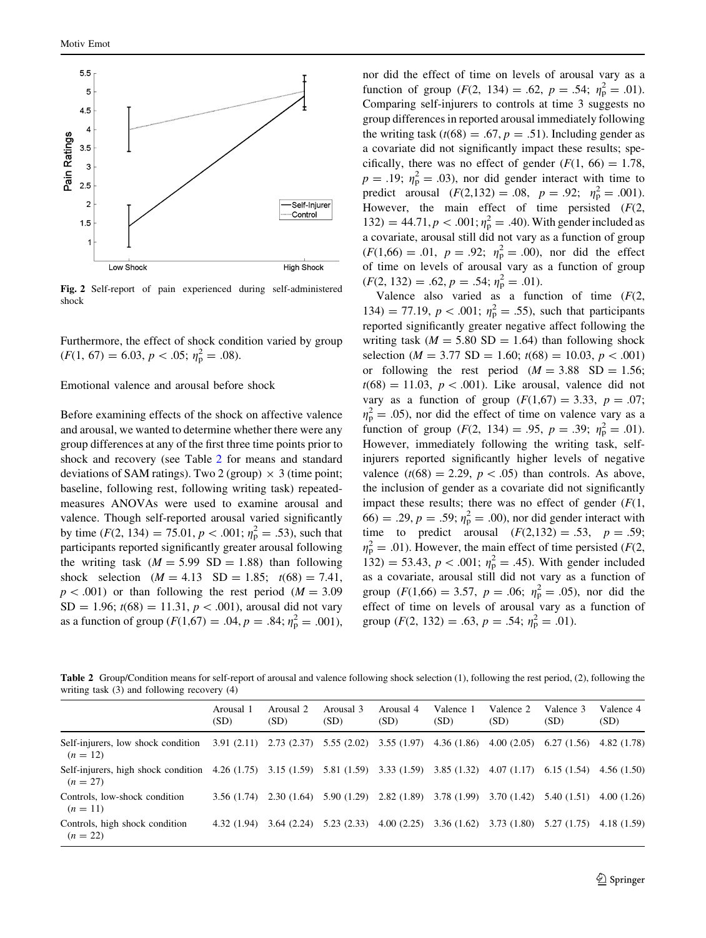<span id="page-6-0"></span>

Fig. 2 Self-report of pain experienced during self-administered shock

Furthermore, the effect of shock condition varied by group  $(F(1, 67) = 6.03, p < .05; \eta_{\rm p}^2 = .08).$ 

#### Emotional valence and arousal before shock

Before examining effects of the shock on affective valence and arousal, we wanted to determine whether there were any group differences at any of the first three time points prior to shock and recovery (see Table 2 for means and standard deviations of SAM ratings). Two 2 (group)  $\times$  3 (time point; baseline, following rest, following writing task) repeatedmeasures ANOVAs were used to examine arousal and valence. Though self-reported arousal varied significantly by time  $(F(2, 134) = 75.01, p < .001; \eta_{\rm p}^2 = .53)$ , such that participants reported significantly greater arousal following the writing task  $(M = 5.99 \text{ SD} = 1.88)$  than following shock selection  $(M = 4.13 \text{ SD} = 1.85; t(68) = 7.41,$  $p < .001$ ) or than following the rest period ( $M = 3.09$ )  $SD = 1.96$ ;  $t(68) = 11.31, p < .001$ ), arousal did not vary as a function of group ( $F(1,67) = .04$ ,  $p = .84$ ;  $\eta_p^2 = .001$ ),

nor did the effect of time on levels of arousal vary as a function of group  $(F(2, 134) = .62, p = .54; \eta_{p}^{2} = .01)$ . Comparing self-injurers to controls at time 3 suggests no group differences in reported arousal immediately following the writing task  $(t(68) = .67, p = .51)$ . Including gender as a covariate did not significantly impact these results; specifically, there was no effect of gender  $(F(1, 66) = 1.78$ ,  $p = .19$ ;  $\eta_{\rm p}^2 = .03$ ), nor did gender interact with time to predict arousal  $(F(2,132) = .08, p = .92; \eta_{\rm p}^2 = .001)$ . However, the main effect of time persisted  $(F(2,$ 132) = 44.71,  $p < .001$ ;  $\eta_p^2 = .40$ ). With gender included as a covariate, arousal still did not vary as a function of group  $(F(1,66) = .01, p = .92; \eta_p^2 = .00)$ , nor did the effect of time on levels of arousal vary as a function of group  $(F(2, 132) = .62, p = .54; \eta_{p}^{2} = .01).$ 

Valence also varied as a function of time  $(F(2,$ 134) = 77.19,  $p < .001$ ;  $\eta_{\rm p}^2 = .55$ ), such that participants reported significantly greater negative affect following the writing task ( $M = 5.80$  SD = 1.64) than following shock selection ( $M = 3.77$  SD = 1.60;  $t(68) = 10.03$ ,  $p < .001$ ) or following the rest period  $(M = 3.88 \text{ SD} = 1.56;$  $t(68) = 11.03$ ,  $p < .001$ ). Like arousal, valence did not vary as a function of group  $(F(1,67) = 3.33, p = .07;$  $\eta_{\rm p}^2 = .05$ ), nor did the effect of time on valence vary as a function of group  $(F(2, 134) = .95, p = .39; \eta_{\rm p}^2 = .01)$ . However, immediately following the writing task, selfinjurers reported significantly higher levels of negative valence  $(t(68) = 2.29, p < .05)$  than controls. As above, the inclusion of gender as a covariate did not significantly impact these results; there was no effect of gender  $(F(1,$ 66) = .29,  $p = .59$ ;  $\eta_{\rm p}^2 = .00$ ), nor did gender interact with time to predict arousal  $(F(2,132) = .53, p = .59;$  $\eta_{\rm p}^2 = .01$ ). However, the main effect of time persisted (F(2, 132) = 53.43,  $p < .001$ ;  $\eta_p^2 = .45$ ). With gender included as a covariate, arousal still did not vary as a function of group ( $F(1,66) = 3.57$ ,  $p = .06$ ;  $\eta_{\rm p}^2 = .05$ ), nor did the effect of time on levels of arousal vary as a function of group  $(F(2, 132) = .63, p = .54; \eta_p^2 = .01)$ .

Table 2 Group/Condition means for self-report of arousal and valence following shock selection (1), following the rest period, (2), following the writing task (3) and following recovery (4)

|                                                                                                               | Arousal 1<br>(SD) | Arousal 2<br>(SD) | Arousal 3<br>(SD)                                                | Arousal 4<br>(SD) | Valence 1<br>(SD) | Valence 2<br>(SD) | Valence 3<br>(SD)                      | Valence 4<br>(SD) |
|---------------------------------------------------------------------------------------------------------------|-------------------|-------------------|------------------------------------------------------------------|-------------------|-------------------|-------------------|----------------------------------------|-------------------|
| Self-injurers, low shock condition<br>$(n = 12)$                                                              |                   |                   | $3.91(2.11)$ $2.73(2.37)$ $5.55(2.02)$ $3.55(1.97)$ $4.36(1.86)$ |                   |                   | 4.00(2.05)        | 6.27(1.56)                             | 4.82 (1.78)       |
| Self-injurers, high shock condition 4.26 (1.75) 3.15 (1.59) 5.81 (1.59) 3.33 (1.59) 3.85 (1.32)<br>$(n = 27)$ |                   |                   |                                                                  |                   |                   |                   | $4.07(1.17)$ $6.15(1.54)$ $4.56(1.50)$ |                   |
| Controls, low-shock condition<br>$(n = 11)$                                                                   | 3.56 (1.74)       |                   | $2.30(1.64)$ 5.90 (1.29) 2.82 (1.89)                             |                   | 3.78 (1.99)       | 3.70(1.42)        | 5.40 (1.51)                            | 4.00(1.26)        |
| Controls, high shock condition<br>$(n = 22)$                                                                  | 4.32(1.94)        | 3.64(2.24)        | 5.23(2.33)                                                       | 4.00(2.25)        | 3.36(1.62)        | 3.73(1.80)        | $5.27(1.75)$ 4.18 (1.59)               |                   |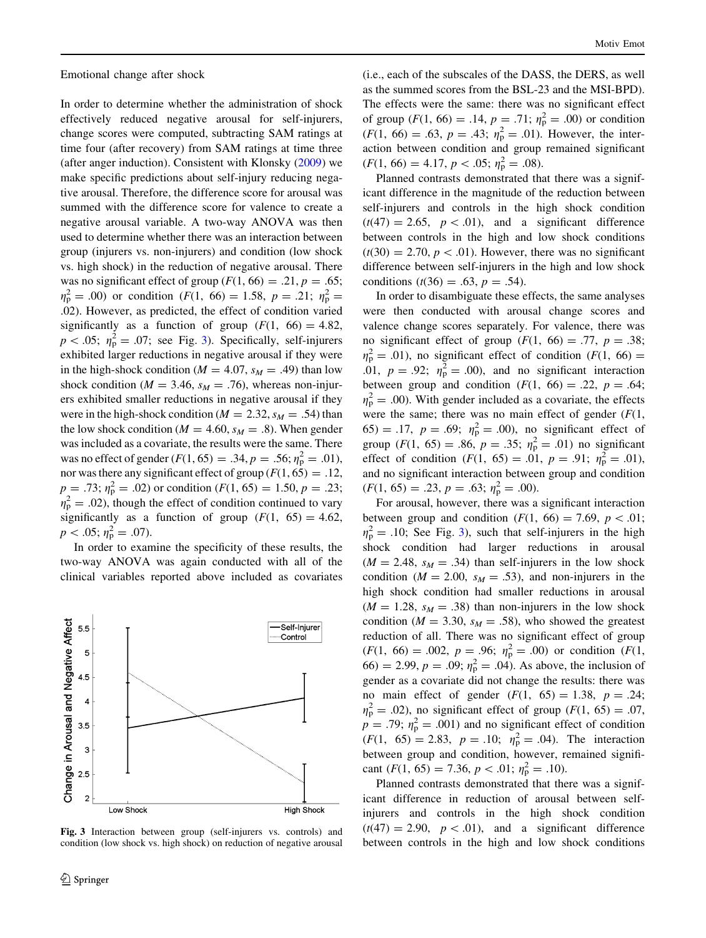Emotional change after shock

In order to determine whether the administration of shock effectively reduced negative arousal for self-injurers, change scores were computed, subtracting SAM ratings at time four (after recovery) from SAM ratings at time three (after anger induction). Consistent with Klonsky ([2009\)](#page-11-0) we make specific predictions about self-injury reducing negative arousal. Therefore, the difference score for arousal was summed with the difference score for valence to create a negative arousal variable. A two-way ANOVA was then used to determine whether there was an interaction between group (injurers vs. non-injurers) and condition (low shock vs. high shock) in the reduction of negative arousal. There was no significant effect of group  $(F(1, 66) = .21, p = .65;$  $\eta_{\rm p}^2 = .00$ ) or condition (*F*(1, 66) = 1.58, *p* = .21;  $\eta_{\rm p}^2 =$ .02). However, as predicted, the effect of condition varied significantly as a function of group  $(F(1, 66) = 4.82)$ ,  $p < .05; \eta_{\rm p}^2 = .07;$  see Fig. 3). Specifically, self-injurers exhibited larger reductions in negative arousal if they were in the high-shock condition ( $M = 4.07$ ,  $s_M = .49$ ) than low shock condition ( $M = 3.46$ ,  $s_M = .76$ ), whereas non-injurers exhibited smaller reductions in negative arousal if they were in the high-shock condition ( $M = 2.32$ ,  $s_M = .54$ ) than the low shock condition ( $M = 4.60$ ,  $s_M = .8$ ). When gender was included as a covariate, the results were the same. There was no effect of gender  $(F(1, 65) = .34, p = .56; \eta_{\rm p}^2 = .01)$ , nor was there any significant effect of group  $(F(1, 65) = .12,$  $p = .73$ ;  $\eta_{\rm p}^2 = .02$ ) or condition ( $F(1, 65) = 1.50$ ,  $p = .23$ ;  $\eta_{\rm p}^2 = .02$ ), though the effect of condition continued to vary significantly as a function of group  $(F(1, 65) = 4.62,$  $p < .05; \eta_{\rm p}^2 = .07$ ).

In order to examine the specificity of these results, the two-way ANOVA was again conducted with all of the clinical variables reported above included as covariates



Fig. 3 Interaction between group (self-injurers vs. controls) and condition (low shock vs. high shock) on reduction of negative arousal

(i.e., each of the subscales of the DASS, the DERS, as well as the summed scores from the BSL-23 and the MSI-BPD). The effects were the same: there was no significant effect of group ( $F(1, 66) = .14$ ,  $p = .71$ ;  $\eta_p^2 = .00$ ) or condition  $(F(1, 66) = .63, p = .43; \eta_p^2 = .01)$ . However, the interaction between condition and group remained significant  $(F(1, 66) = 4.17, p < .05; \eta_{\rm p}^2 = .08).$ 

Planned contrasts demonstrated that there was a significant difference in the magnitude of the reduction between self-injurers and controls in the high shock condition  $(t(47) = 2.65, p < .01)$ , and a significant difference between controls in the high and low shock conditions  $(t(30) = 2.70, p < .01)$ . However, there was no significant difference between self-injurers in the high and low shock conditions  $(t(36) = .63, p = .54)$ .

In order to disambiguate these effects, the same analyses were then conducted with arousal change scores and valence change scores separately. For valence, there was no significant effect of group  $(F(1, 66) = .77, p = .38;$  $\eta_{\rm p}^2 = .01$ ), no significant effect of condition ( $F(1, 66) =$ .01,  $p = .92$ ;  $\eta_{\rm p}^2 = .00$ ), and no significant interaction between group and condition  $(F(1, 66) = .22, p = .64;$  $\eta_{\rm p}^2 = .00$ ). With gender included as a covariate, the effects were the same; there was no main effect of gender  $(F(1,$ 65) = .17,  $p = .69$ ;  $\eta_{\rm p}^2 = .00$ , no significant effect of group  $(F(1, 65) = .86, p = .35; \eta_p^2 = .01)$  no significant effect of condition  $(F(1, 65) = .01, p = .91; \eta_p^2 = .01)$ , and no significant interaction between group and condition  $(F(1, 65) = .23, p = .63; \eta_{p}^{2} = .00).$ 

For arousal, however, there was a significant interaction between group and condition  $(F(1, 66) = 7.69, p < .01;$  $\eta_{\rm p}^2 = .10$ ; See Fig. 3), such that self-injurers in the high shock condition had larger reductions in arousal  $(M = 2.48, s_M = .34)$  than self-injurers in the low shock condition ( $M = 2.00$ ,  $s_M = .53$ ), and non-injurers in the high shock condition had smaller reductions in arousal  $(M = 1.28, s_M = .38)$  than non-injurers in the low shock condition ( $M = 3.30$ ,  $s_M = .58$ ), who showed the greatest reduction of all. There was no significant effect of group  $(F(1, 66) = .002, p = .96; \eta_p^2 = .00)$  or condition  $(F(1, 66) = .002, p = .96; \eta_p^2 = .00)$ 66) = 2.99,  $p = .09$ ;  $\eta_{\rm p}^2 = .04$ ). As above, the inclusion of gender as a covariate did not change the results: there was no main effect of gender  $(F(1, 65) = 1.38, p = .24;$  $\eta_{\rm p}^2 = .02$ ), no significant effect of group ( $F(1, 65) = .07$ ,  $p = .79$ ;  $\eta_p^2 = .001$ ) and no significant effect of condition  $(F(1, 65) = 2.83, p = .10; \eta_p^2 = .04)$ . The interaction between group and condition, however, remained significant  $(F(1, 65) = 7.36, p < .01; \eta_p^2 = .10)$ .

Planned contrasts demonstrated that there was a significant difference in reduction of arousal between selfinjurers and controls in the high shock condition  $(t(47) = 2.90, p < .01)$ , and a significant difference between controls in the high and low shock conditions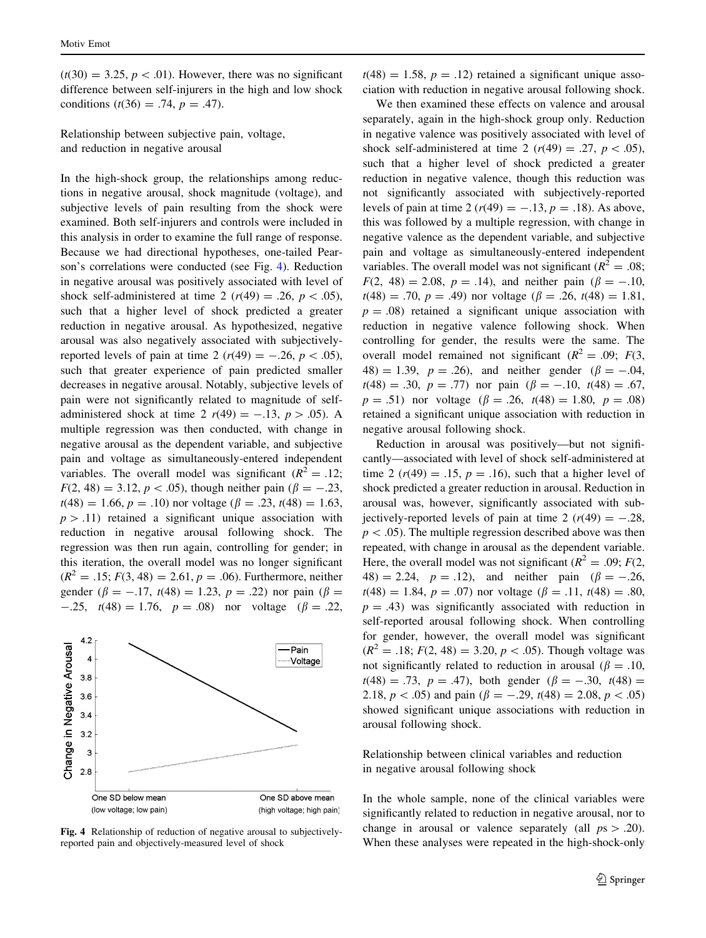$(t(30) = 3.25, p < 0.01)$ . However, there was no significant difference between self-injurers in the high and low shock conditions  $(t(36) = .74, p = .47)$ .

Relationship between subjective pain, voltage, and reduction in negative arousal

In the high-shock group, the relationships among reductions in negative arousal, shock magnitude (voltage), and subjective levels of pain resulting from the shock were examined. Both self-injurers and controls were included in this analysis in order to examine the full range of response. Because we had directional hypotheses, one-tailed Pearson's correlations were conducted (see Fig. 4). Reduction in negative arousal was positively associated with level of shock self-administered at time 2 ( $r(49) = .26$ ,  $p < .05$ ), such that a higher level of shock predicted a greater reduction in negative arousal. As hypothesized, negative arousal was also negatively associated with subjectivelyreported levels of pain at time 2 ( $r(49) = -.26$ ,  $p < .05$ ), such that greater experience of pain predicted smaller decreases in negative arousal. Notably, subjective levels of pain were not significantly related to magnitude of selfadministered shock at time 2  $r(49) = -.13$ ,  $p > .05$ ). A multiple regression was then conducted, with change in negative arousal as the dependent variable, and subjective pain and voltage as simultaneously-entered independent variables. The overall model was significant ( $R^2 = .12$ ;  $F(2, 48) = 3.12, p < .05$ , though neither pain ( $\beta = -.23$ ,  $t(48) = 1.66, p = .10$  nor voltage  $(\beta = .23, t(48) = 1.63,$  $p > .11$ ) retained a significant unique association with reduction in negative arousal following shock. The regression was then run again, controlling for gender; in this iteration, the overall model was no longer significant  $(R^{2} = .15; F(3, 48) = 2.61, p = .06)$ . Furthermore, neither gender ( $\beta = -.17$ ,  $t(48) = 1.23$ ,  $p = .22$ ) nor pain ( $\beta =$  $-0.25$ ,  $t(48) = 1.76$ ,  $p = .08$ ) nor voltage ( $\beta = .22$ ,



Fig. 4 Relationship of reduction of negative arousal to subjectivelyreported pain and objectively-measured level of shock

 $t(48) = 1.58$ ,  $p = .12$ ) retained a significant unique association with reduction in negative arousal following shock.

We then examined these effects on valence and arousal separately, again in the high-shock group only. Reduction in negative valence was positively associated with level of shock self-administered at time 2 ( $r(49) = .27$ ,  $p < .05$ ), such that a higher level of shock predicted a greater reduction in negative valence, though this reduction was not significantly associated with subjectively-reported levels of pain at time  $2 (r(49) = -.13, p = .18)$ . As above, this was followed by a multiple regression, with change in negative valence as the dependent variable, and subjective pain and voltage as simultaneously-entered independent variables. The overall model was not significant ( $R^2 = .08$ ;  $F(2, 48) = 2.08$ ,  $p = .14$ ), and neither pain ( $\beta = -.10$ ,  $t(48) = .70, p = .49$  nor voltage  $(\beta = .26, t(48) = 1.81,$  $p = .08$ ) retained a significant unique association with reduction in negative valence following shock. When controlling for gender, the results were the same. The overall model remained not significant ( $R^2 = .09$ ;  $F(3, 10)$  $(48) = 1.39, p = .26$ , and neither gender  $(\beta = -.04, )$  $t(48) = .30, p = .77$  nor pain  $(\beta = -.10, t(48) = .67,$  $p = .51$ ) nor voltage ( $\beta = .26$ ,  $t(48) = 1.80$ ,  $p = .08$ ) retained a significant unique association with reduction in negative arousal following shock.

Reduction in arousal was positively—but not significantly—associated with level of shock self-administered at time 2 ( $r(49) = .15$ ,  $p = .16$ ), such that a higher level of shock predicted a greater reduction in arousal. Reduction in arousal was, however, significantly associated with subjectively-reported levels of pain at time 2  $(r(49) = -.28,$  $p\lt 0.05$ ). The multiple regression described above was then repeated, with change in arousal as the dependent variable. Here, the overall model was not significant ( $R^2 = .09$ ;  $F(2, 10)$ ) 48) = 2.24,  $p = .12$ , and neither pain ( $\beta = -.26$ ,  $t(48) = 1.84$ ,  $p = .07$ ) nor voltage ( $\beta = .11$ ,  $t(48) = .80$ ,  $p = .43$ ) was significantly associated with reduction in self-reported arousal following shock. When controlling for gender, however, the overall model was significant  $(R^{2} = .18; F(2, 48) = 3.20, p < .05)$ . Though voltage was not significantly related to reduction in arousal ( $\beta = .10$ ,  $t(48) = .73$ ,  $p = .47$ ), both gender  $(\beta = -.30, t(48)) =$ 2.18,  $p < .05$ ) and pain ( $\beta = -.29$ ,  $t(48) = 2.08$ ,  $p < .05$ ) showed significant unique associations with reduction in arousal following shock.

Relationship between clinical variables and reduction in negative arousal following shock

In the whole sample, none of the clinical variables were significantly related to reduction in negative arousal, nor to change in arousal or valence separately (all  $ps > .20$ ). When these analyses were repeated in the high-shock-only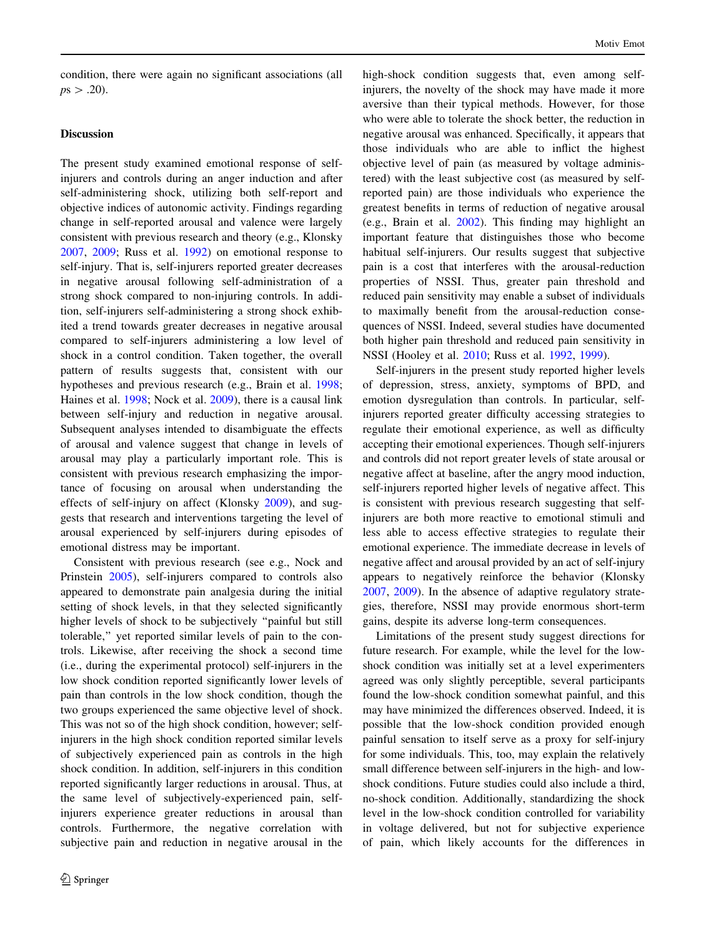condition, there were again no significant associations (all  $ps > .20$ ).

# **Discussion**

The present study examined emotional response of selfinjurers and controls during an anger induction and after self-administering shock, utilizing both self-report and objective indices of autonomic activity. Findings regarding change in self-reported arousal and valence were largely consistent with previous research and theory (e.g., Klonsky [2007,](#page-11-0) [2009;](#page-11-0) Russ et al. [1992](#page-11-0)) on emotional response to self-injury. That is, self-injurers reported greater decreases in negative arousal following self-administration of a strong shock compared to non-injuring controls. In addition, self-injurers self-administering a strong shock exhibited a trend towards greater decreases in negative arousal compared to self-injurers administering a low level of shock in a control condition. Taken together, the overall pattern of results suggests that, consistent with our hypotheses and previous research (e.g., Brain et al. [1998](#page-10-0); Haines et al. [1998](#page-11-0); Nock et al. [2009](#page-11-0)), there is a causal link between self-injury and reduction in negative arousal. Subsequent analyses intended to disambiguate the effects of arousal and valence suggest that change in levels of arousal may play a particularly important role. This is consistent with previous research emphasizing the importance of focusing on arousal when understanding the effects of self-injury on affect (Klonsky [2009](#page-11-0)), and suggests that research and interventions targeting the level of arousal experienced by self-injurers during episodes of emotional distress may be important.

Consistent with previous research (see e.g., Nock and Prinstein [2005](#page-11-0)), self-injurers compared to controls also appeared to demonstrate pain analgesia during the initial setting of shock levels, in that they selected significantly higher levels of shock to be subjectively ''painful but still tolerable,'' yet reported similar levels of pain to the controls. Likewise, after receiving the shock a second time (i.e., during the experimental protocol) self-injurers in the low shock condition reported significantly lower levels of pain than controls in the low shock condition, though the two groups experienced the same objective level of shock. This was not so of the high shock condition, however; selfinjurers in the high shock condition reported similar levels of subjectively experienced pain as controls in the high shock condition. In addition, self-injurers in this condition reported significantly larger reductions in arousal. Thus, at the same level of subjectively-experienced pain, selfinjurers experience greater reductions in arousal than controls. Furthermore, the negative correlation with subjective pain and reduction in negative arousal in the high-shock condition suggests that, even among selfinjurers, the novelty of the shock may have made it more aversive than their typical methods. However, for those who were able to tolerate the shock better, the reduction in negative arousal was enhanced. Specifically, it appears that those individuals who are able to inflict the highest objective level of pain (as measured by voltage administered) with the least subjective cost (as measured by selfreported pain) are those individuals who experience the greatest benefits in terms of reduction of negative arousal (e.g., Brain et al. [2002](#page-10-0)). This finding may highlight an important feature that distinguishes those who become habitual self-injurers. Our results suggest that subjective pain is a cost that interferes with the arousal-reduction properties of NSSI. Thus, greater pain threshold and reduced pain sensitivity may enable a subset of individuals to maximally benefit from the arousal-reduction consequences of NSSI. Indeed, several studies have documented both higher pain threshold and reduced pain sensitivity in NSSI (Hooley et al. [2010;](#page-11-0) Russ et al. [1992](#page-11-0), [1999\)](#page-11-0).

Self-injurers in the present study reported higher levels of depression, stress, anxiety, symptoms of BPD, and emotion dysregulation than controls. In particular, selfinjurers reported greater difficulty accessing strategies to regulate their emotional experience, as well as difficulty accepting their emotional experiences. Though self-injurers and controls did not report greater levels of state arousal or negative affect at baseline, after the angry mood induction, self-injurers reported higher levels of negative affect. This is consistent with previous research suggesting that selfinjurers are both more reactive to emotional stimuli and less able to access effective strategies to regulate their emotional experience. The immediate decrease in levels of negative affect and arousal provided by an act of self-injury appears to negatively reinforce the behavior (Klonsky [2007](#page-11-0), [2009](#page-11-0)). In the absence of adaptive regulatory strategies, therefore, NSSI may provide enormous short-term gains, despite its adverse long-term consequences.

Limitations of the present study suggest directions for future research. For example, while the level for the lowshock condition was initially set at a level experimenters agreed was only slightly perceptible, several participants found the low-shock condition somewhat painful, and this may have minimized the differences observed. Indeed, it is possible that the low-shock condition provided enough painful sensation to itself serve as a proxy for self-injury for some individuals. This, too, may explain the relatively small difference between self-injurers in the high- and lowshock conditions. Future studies could also include a third, no-shock condition. Additionally, standardizing the shock level in the low-shock condition controlled for variability in voltage delivered, but not for subjective experience of pain, which likely accounts for the differences in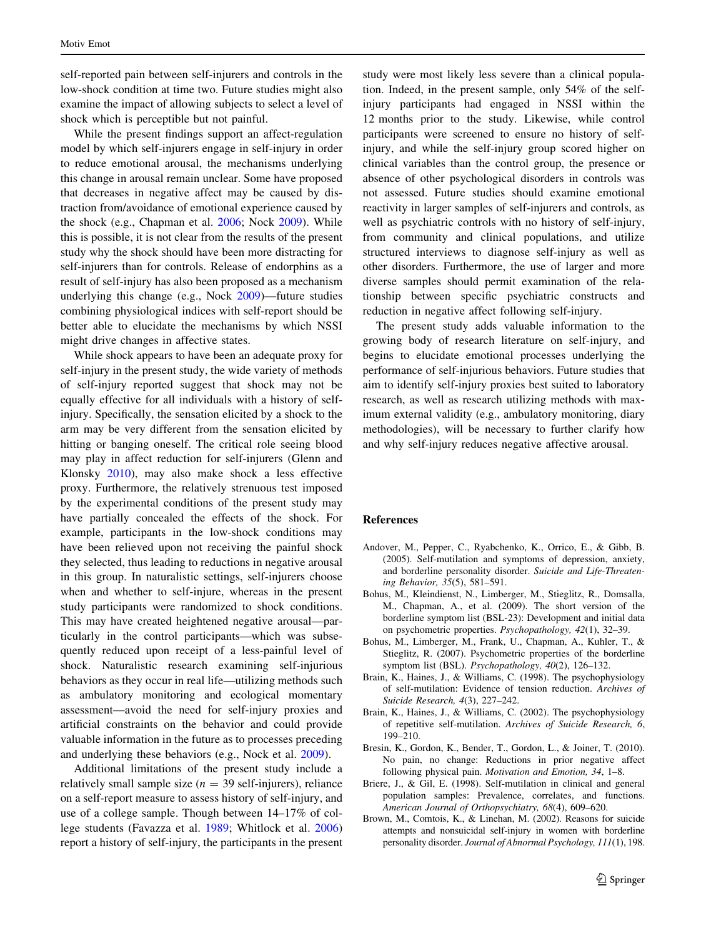<span id="page-10-0"></span>self-reported pain between self-injurers and controls in the low-shock condition at time two. Future studies might also examine the impact of allowing subjects to select a level of shock which is perceptible but not painful.

While the present findings support an affect-regulation model by which self-injurers engage in self-injury in order to reduce emotional arousal, the mechanisms underlying this change in arousal remain unclear. Some have proposed that decreases in negative affect may be caused by distraction from/avoidance of emotional experience caused by the shock (e.g., Chapman et al. [2006;](#page-11-0) Nock [2009](#page-11-0)). While this is possible, it is not clear from the results of the present study why the shock should have been more distracting for self-injurers than for controls. Release of endorphins as a result of self-injury has also been proposed as a mechanism underlying this change (e.g., Nock [2009\)](#page-11-0)—future studies combining physiological indices with self-report should be better able to elucidate the mechanisms by which NSSI might drive changes in affective states.

While shock appears to have been an adequate proxy for self-injury in the present study, the wide variety of methods of self-injury reported suggest that shock may not be equally effective for all individuals with a history of selfinjury. Specifically, the sensation elicited by a shock to the arm may be very different from the sensation elicited by hitting or banging oneself. The critical role seeing blood may play in affect reduction for self-injurers (Glenn and Klonsky [2010](#page-11-0)), may also make shock a less effective proxy. Furthermore, the relatively strenuous test imposed by the experimental conditions of the present study may have partially concealed the effects of the shock. For example, participants in the low-shock conditions may have been relieved upon not receiving the painful shock they selected, thus leading to reductions in negative arousal in this group. In naturalistic settings, self-injurers choose when and whether to self-injure, whereas in the present study participants were randomized to shock conditions. This may have created heightened negative arousal—particularly in the control participants—which was subsequently reduced upon receipt of a less-painful level of shock. Naturalistic research examining self-injurious behaviors as they occur in real life—utilizing methods such as ambulatory monitoring and ecological momentary assessment—avoid the need for self-injury proxies and artificial constraints on the behavior and could provide valuable information in the future as to processes preceding and underlying these behaviors (e.g., Nock et al. [2009\)](#page-11-0).

Additional limitations of the present study include a relatively small sample size  $(n = 39 \text{ self-injures})$ , reliance on a self-report measure to assess history of self-injury, and use of a college sample. Though between 14–17% of college students (Favazza et al. [1989](#page-11-0); Whitlock et al. [2006\)](#page-12-0) report a history of self-injury, the participants in the present study were most likely less severe than a clinical population. Indeed, in the present sample, only 54% of the selfinjury participants had engaged in NSSI within the 12 months prior to the study. Likewise, while control participants were screened to ensure no history of selfinjury, and while the self-injury group scored higher on clinical variables than the control group, the presence or absence of other psychological disorders in controls was not assessed. Future studies should examine emotional reactivity in larger samples of self-injurers and controls, as well as psychiatric controls with no history of self-injury, from community and clinical populations, and utilize structured interviews to diagnose self-injury as well as other disorders. Furthermore, the use of larger and more diverse samples should permit examination of the relationship between specific psychiatric constructs and reduction in negative affect following self-injury.

The present study adds valuable information to the growing body of research literature on self-injury, and begins to elucidate emotional processes underlying the performance of self-injurious behaviors. Future studies that aim to identify self-injury proxies best suited to laboratory research, as well as research utilizing methods with maximum external validity (e.g., ambulatory monitoring, diary methodologies), will be necessary to further clarify how and why self-injury reduces negative affective arousal.

#### References

- Andover, M., Pepper, C., Ryabchenko, K., Orrico, E., & Gibb, B. (2005). Self-mutilation and symptoms of depression, anxiety, and borderline personality disorder. Suicide and Life-Threatening Behavior, 35(5), 581–591.
- Bohus, M., Kleindienst, N., Limberger, M., Stieglitz, R., Domsalla, M., Chapman, A., et al. (2009). The short version of the borderline symptom list (BSL-23): Development and initial data on psychometric properties. Psychopathology, 42(1), 32–39.
- Bohus, M., Limberger, M., Frank, U., Chapman, A., Kuhler, T., & Stieglitz, R. (2007). Psychometric properties of the borderline symptom list (BSL). Psychopathology, 40(2), 126–132.
- Brain, K., Haines, J., & Williams, C. (1998). The psychophysiology of self-mutilation: Evidence of tension reduction. Archives of Suicide Research, 4(3), 227–242.
- Brain, K., Haines, J., & Williams, C. (2002). The psychophysiology of repetitive self-mutilation. Archives of Suicide Research, 6, 199–210.
- Bresin, K., Gordon, K., Bender, T., Gordon, L., & Joiner, T. (2010). No pain, no change: Reductions in prior negative affect following physical pain. Motivation and Emotion, 34, 1–8.
- Briere, J., & Gil, E. (1998). Self-mutilation in clinical and general population samples: Prevalence, correlates, and functions. American Journal of Orthopsychiatry, 68(4), 609–620.
- Brown, M., Comtois, K., & Linehan, M. (2002). Reasons for suicide attempts and nonsuicidal self-injury in women with borderline personality disorder. Journal of Abnormal Psychology, 111(1), 198.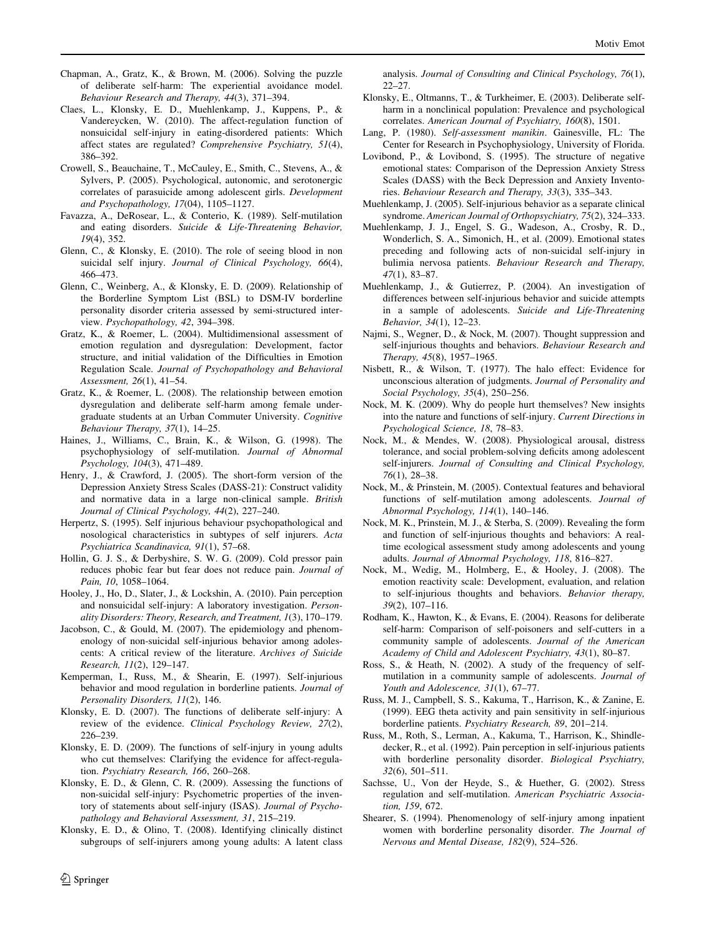- <span id="page-11-0"></span>Claes, L., Klonsky, E. D., Muehlenkamp, J., Kuppens, P., & Vandereycken, W. (2010). The affect-regulation function of nonsuicidal self-injury in eating-disordered patients: Which affect states are regulated? Comprehensive Psychiatry, 51(4), 386–392.
- Crowell, S., Beauchaine, T., McCauley, E., Smith, C., Stevens, A., & Sylvers, P. (2005). Psychological, autonomic, and serotonergic correlates of parasuicide among adolescent girls. Development and Psychopathology, 17(04), 1105–1127.
- Favazza, A., DeRosear, L., & Conterio, K. (1989). Self-mutilation and eating disorders. Suicide & Life-Threatening Behavior, 19(4), 352.
- Glenn, C., & Klonsky, E. (2010). The role of seeing blood in non suicidal self injury. Journal of Clinical Psychology, 66(4), 466–473.
- Glenn, C., Weinberg, A., & Klonsky, E. D. (2009). Relationship of the Borderline Symptom List (BSL) to DSM-IV borderline personality disorder criteria assessed by semi-structured interview. Psychopathology, 42, 394–398.
- Gratz, K., & Roemer, L. (2004). Multidimensional assessment of emotion regulation and dysregulation: Development, factor structure, and initial validation of the Difficulties in Emotion Regulation Scale. Journal of Psychopathology and Behavioral Assessment, 26(1), 41–54.
- Gratz, K., & Roemer, L. (2008). The relationship between emotion dysregulation and deliberate self-harm among female undergraduate students at an Urban Commuter University. Cognitive Behaviour Therapy, 37(1), 14–25.
- Haines, J., Williams, C., Brain, K., & Wilson, G. (1998). The psychophysiology of self-mutilation. Journal of Abnormal Psychology, 104(3), 471–489.
- Henry, J., & Crawford, J. (2005). The short-form version of the Depression Anxiety Stress Scales (DASS-21): Construct validity and normative data in a large non-clinical sample. British Journal of Clinical Psychology, 44(2), 227–240.
- Herpertz, S. (1995). Self injurious behaviour psychopathological and nosological characteristics in subtypes of self injurers. Acta Psychiatrica Scandinavica, 91(1), 57–68.
- Hollin, G. J. S., & Derbyshire, S. W. G. (2009). Cold pressor pain reduces phobic fear but fear does not reduce pain. Journal of Pain, 10, 1058–1064.
- Hooley, J., Ho, D., Slater, J., & Lockshin, A. (2010). Pain perception and nonsuicidal self-injury: A laboratory investigation. Personality Disorders: Theory, Research, and Treatment, 1(3), 170–179.
- Jacobson, C., & Gould, M. (2007). The epidemiology and phenomenology of non-suicidal self-injurious behavior among adolescents: A critical review of the literature. Archives of Suicide Research, 11(2), 129–147.
- Kemperman, I., Russ, M., & Shearin, E. (1997). Self-injurious behavior and mood regulation in borderline patients. Journal of Personality Disorders, 11(2), 146.
- Klonsky, E. D. (2007). The functions of deliberate self-injury: A review of the evidence. Clinical Psychology Review, 27(2), 226–239.
- Klonsky, E. D. (2009). The functions of self-injury in young adults who cut themselves: Clarifying the evidence for affect-regulation. Psychiatry Research, 166, 260–268.
- Klonsky, E. D., & Glenn, C. R. (2009). Assessing the functions of non-suicidal self-injury: Psychometric properties of the inventory of statements about self-injury (ISAS). Journal of Psychopathology and Behavioral Assessment, 31, 215–219.
- Klonsky, E. D., & Olino, T. (2008). Identifying clinically distinct subgroups of self-injurers among young adults: A latent class

analysis. Journal of Consulting and Clinical Psychology, 76(1), 22–27.

- Klonsky, E., Oltmanns, T., & Turkheimer, E. (2003). Deliberate selfharm in a nonclinical population: Prevalence and psychological correlates. American Journal of Psychiatry, 160(8), 1501.
- Lang, P. (1980). Self-assessment manikin. Gainesville, FL: The Center for Research in Psychophysiology, University of Florida.
- Lovibond, P., & Lovibond, S. (1995). The structure of negative emotional states: Comparison of the Depression Anxiety Stress Scales (DASS) with the Beck Depression and Anxiety Inventories. Behaviour Research and Therapy, 33(3), 335–343.
- Muehlenkamp, J. (2005). Self-injurious behavior as a separate clinical syndrome. American Journal of Orthopsychiatry, 75(2), 324–333.
- Muehlenkamp, J. J., Engel, S. G., Wadeson, A., Crosby, R. D., Wonderlich, S. A., Simonich, H., et al. (2009). Emotional states preceding and following acts of non-suicidal self-injury in bulimia nervosa patients. Behaviour Research and Therapy, 47(1), 83–87.
- Muehlenkamp, J., & Gutierrez, P. (2004). An investigation of differences between self-injurious behavior and suicide attempts in a sample of adolescents. Suicide and Life-Threatening Behavior, 34(1), 12–23.
- Najmi, S., Wegner, D., & Nock, M. (2007). Thought suppression and self-injurious thoughts and behaviors. Behaviour Research and Therapy, 45(8), 1957–1965.
- Nisbett, R., & Wilson, T. (1977). The halo effect: Evidence for unconscious alteration of judgments. Journal of Personality and Social Psychology, 35(4), 250–256.
- Nock, M. K. (2009). Why do people hurt themselves? New insights into the nature and functions of self-injury. Current Directions in Psychological Science, 18, 78–83.
- Nock, M., & Mendes, W. (2008). Physiological arousal, distress tolerance, and social problem-solving deficits among adolescent self-injurers. Journal of Consulting and Clinical Psychology, 76(1), 28–38.
- Nock, M., & Prinstein, M. (2005). Contextual features and behavioral functions of self-mutilation among adolescents. Journal of Abnormal Psychology, 114(1), 140–146.
- Nock, M. K., Prinstein, M. J., & Sterba, S. (2009). Revealing the form and function of self-injurious thoughts and behaviors: A realtime ecological assessment study among adolescents and young adults. Journal of Abnormal Psychology, 118, 816–827.
- Nock, M., Wedig, M., Holmberg, E., & Hooley, J. (2008). The emotion reactivity scale: Development, evaluation, and relation to self-injurious thoughts and behaviors. Behavior therapy, 39(2), 107–116.
- Rodham, K., Hawton, K., & Evans, E. (2004). Reasons for deliberate self-harm: Comparison of self-poisoners and self-cutters in a community sample of adolescents. Journal of the American Academy of Child and Adolescent Psychiatry, 43(1), 80–87.
- Ross, S., & Heath, N. (2002). A study of the frequency of selfmutilation in a community sample of adolescents. Journal of Youth and Adolescence, 31(1), 67-77.
- Russ, M. J., Campbell, S. S., Kakuma, T., Harrison, K., & Zanine, E. (1999). EEG theta activity and pain sensitivity in self-injurious borderline patients. Psychiatry Research, 89, 201–214.
- Russ, M., Roth, S., Lerman, A., Kakuma, T., Harrison, K., Shindledecker, R., et al. (1992). Pain perception in self-injurious patients with borderline personality disorder. Biological Psychiatry, 32(6), 501–511.
- Sachsse, U., Von der Heyde, S., & Huether, G. (2002). Stress regulation and self-mutilation. American Psychiatric Association, 159, 672.
- Shearer, S. (1994). Phenomenology of self-injury among inpatient women with borderline personality disorder. The Journal of Nervous and Mental Disease, 182(9), 524–526.